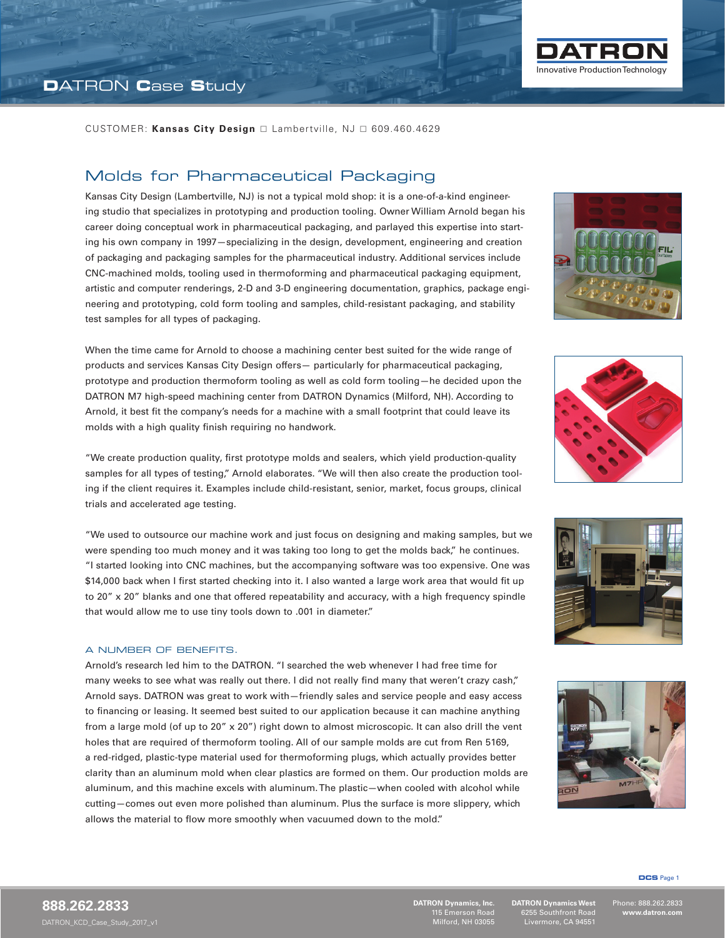

### Molds for Pharmaceutical Packaging

Kansas City Design (Lambertville, NJ) is not a typical mold shop: it is a one-of-a-kind engineering studio that specializes in prototyping and production tooling. Owner William Arnold began his career doing conceptual work in pharmaceutical packaging, and parlayed this expertise into starting his own company in 1997—specializing in the design, development, engineering and creation of packaging and packaging samples for the pharmaceutical industry. Additional services include CNC-machined molds, tooling used in thermoforming and pharmaceutical packaging equipment, artistic and computer renderings, 2-D and 3-D engineering documentation, graphics, package engineering and prototyping, cold form tooling and samples, child-resistant packaging, and stability test samples for all types of packaging.

When the time came for Arnold to choose a machining center best suited for the wide range of products and services Kansas City Design offers— particularly for pharmaceutical packaging, prototype and production thermoform tooling as well as cold form tooling—he decided upon the DATRON M7 high-speed machining center from DATRON Dynamics (Milford, NH). According to Arnold, it best fit the company's needs for a machine with a small footprint that could leave its molds with a high quality finish requiring no handwork.

"We create production quality, first prototype molds and sealers, which yield production-quality samples for all types of testing," Arnold elaborates. "We will then also create the production tooling if the client requires it. Examples include child-resistant, senior, market, focus groups, clinical trials and accelerated age testing.

"We used to outsource our machine work and just focus on designing and making samples, but we were spending too much money and it was taking too long to get the molds back," he continues. "I started looking into CNC machines, but the accompanying software was too expensive. One was \$14,000 back when I first started checking into it. I also wanted a large work area that would fit up to 20" x 20" blanks and one that offered repeatability and accuracy, with a high frequency spindle that would allow me to use tiny tools down to .001 in diameter."

#### A NUMBER OF BENEFITS.

Arnold's research led him to the DATRON. "I searched the web whenever I had free time for many weeks to see what was really out there. I did not really find many that weren't crazy cash," Arnold says. DATRON was great to work with—friendly sales and service people and easy access to financing or leasing. It seemed best suited to our application because it can machine anything from a large mold (of up to 20" x 20") right down to almost microscopic. It can also drill the vent holes that are required of thermoform tooling. All of our sample molds are cut from Ren 5169, a red-ridged, plastic-type material used for thermoforming plugs, which actually provides better clarity than an aluminum mold when clear plastics are formed on them. Our production molds are aluminum, and this machine excels with aluminum. The plastic—when cooled with alcohol while cutting—comes out even more polished than aluminum. Plus the surface is more slippery, which allows the material to flow more smoothly when vacuumed down to the mold."









**DCS** Page 1

l

**DATRON Dynamics, Inc.** 115 Emerson Road Milford, NH 03055

**DATRON Dynamics West** 6255 Southfront Road Livermore, CA 94551

Phone: 888.262.2833 **www.datron.com**

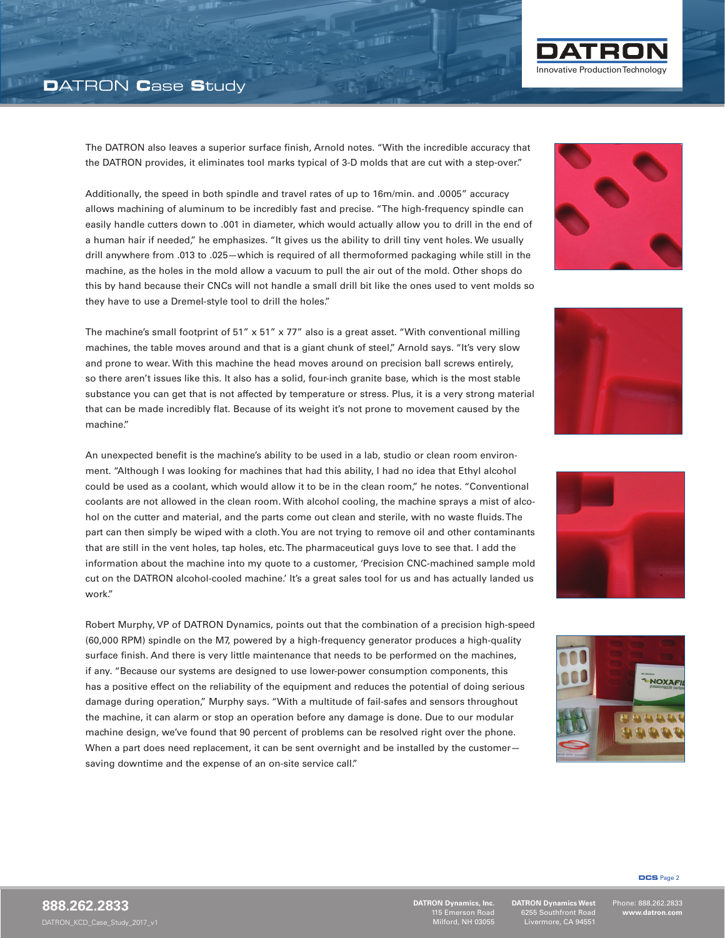## **D**ATRON **C**ase **S**tudy



Additionally, the speed in both spindle and travel rates of up to 16m/min. and .0005" accuracy allows machining of aluminum to be incredibly fast and precise. "The high-frequency spindle can easily handle cutters down to .001 in diameter, which would actually allow you to drill in the end of a human hair if needed," he emphasizes. "It gives us the ability to drill tiny vent holes. We usually drill anywhere from .013 to .025—which is required of all thermoformed packaging while still in the machine, as the holes in the mold allow a vacuum to pull the air out of the mold. Other shops do this by hand because their CNCs will not handle a small drill bit like the ones used to vent molds so they have to use a Dremel-style tool to drill the holes."

The machine's small footprint of 51" x 51" x 77" also is a great asset. "With conventional milling machines, the table moves around and that is a giant chunk of steel," Arnold says. "It's very slow and prone to wear. With this machine the head moves around on precision ball screws entirely, so there aren't issues like this. It also has a solid, four-inch granite base, which is the most stable substance you can get that is not affected by temperature or stress. Plus, it is a very strong material that can be made incredibly flat. Because of its weight it's not prone to movement caused by the machine."

An unexpected benefit is the machine's ability to be used in a lab, studio or clean room environment. "Although I was looking for machines that had this ability, I had no idea that Ethyl alcohol could be used as a coolant, which would allow it to be in the clean room," he notes. "Conventional coolants are not allowed in the clean room. With alcohol cooling, the machine sprays a mist of alcohol on the cutter and material, and the parts come out clean and sterile, with no waste fluids. The part can then simply be wiped with a cloth. You are not trying to remove oil and other contaminants that are still in the vent holes, tap holes, etc. The pharmaceutical guys love to see that. I add the information about the machine into my quote to a customer, 'Precision CNC-machined sample mold cut on the DATRON alcohol-cooled machine.' It's a great sales tool for us and has actually landed us work."

Robert Murphy, VP of DATRON Dynamics, points out that the combination of a precision high-speed (60,000 RPM) spindle on the M7, powered by a high-frequency generator produces a high-quality surface finish. And there is very little maintenance that needs to be performed on the machines, if any. "Because our systems are designed to use lower-power consumption components, this has a positive effect on the reliability of the equipment and reduces the potential of doing serious damage during operation," Murphy says. "With a multitude of fail-safes and sensors throughout the machine, it can alarm or stop an operation before any damage is done. Due to our modular machine design, we've found that 90 percent of problems can be resolved right over the phone. When a part does need replacement, it can be sent overnight and be installed by the customersaving downtime and the expense of an on-site service call."

l

**DATRON Dynamics, Inc.** 115 Emerson Road Milford, NH 03055

**DATRON Dynamics West** 6255 Southfront Road Livermore, CA 94551

Phone: 888.262.2833 **www.datron.com**

**DCS** Page 2